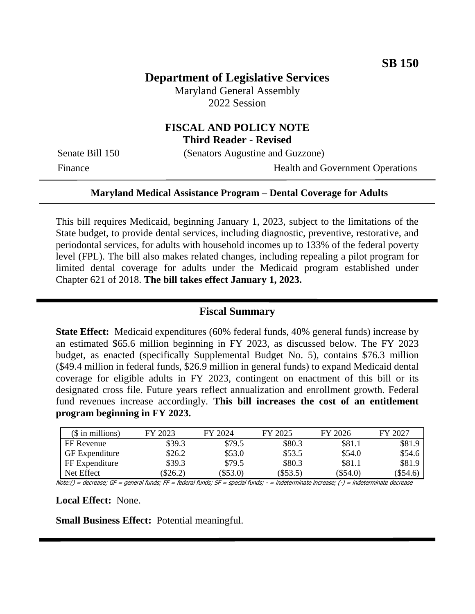# **Department of Legislative Services**

Maryland General Assembly 2022 Session

## **FISCAL AND POLICY NOTE Third Reader - Revised**

Senate Bill 150 (Senators Augustine and Guzzone)

Finance Health and Government Operations

### **Maryland Medical Assistance Program – Dental Coverage for Adults**

This bill requires Medicaid, beginning January 1, 2023, subject to the limitations of the State budget, to provide dental services, including diagnostic, preventive, restorative, and periodontal services, for adults with household incomes up to 133% of the federal poverty level (FPL). The bill also makes related changes, including repealing a pilot program for limited dental coverage for adults under the Medicaid program established under Chapter 621 of 2018. **The bill takes effect January 1, 2023.**

#### **Fiscal Summary**

**State Effect:** Medicaid expenditures (60% federal funds, 40% general funds) increase by an estimated \$65.6 million beginning in FY 2023, as discussed below. The FY 2023 budget, as enacted (specifically Supplemental Budget No. 5), contains \$76.3 million (\$49.4 million in federal funds, \$26.9 million in general funds) to expand Medicaid dental coverage for eligible adults in FY 2023, contingent on enactment of this bill or its designated cross file. Future years reflect annualization and enrollment growth. Federal fund revenues increase accordingly. **This bill increases the cost of an entitlement program beginning in FY 2023.**

| $($$ in millions) | FY 2023 | FY 2024  | FY 2025    | FY 2026  | FY 2027  |
|-------------------|---------|----------|------------|----------|----------|
| FF Revenue        | \$39.3  | \$79.5   | \$80.3     | \$81.1   | \$81.9   |
| GF Expenditure    | \$26.2  | \$53.0   | \$53.5     | \$54.0   | \$54.6   |
| FF Expenditure    | \$39.3  | \$79.5   | \$80.3     | \$81.1   | \$81.9   |
| Net Effect        | \$26.2) | (\$53.0) | $(\$53.5)$ | (\$54.0) | (\$54.6) |

Note:() = decrease; GF = general funds; FF = federal funds; SF = special funds; - = indeterminate increase; (-) = indeterminate decrease

### **Local Effect:** None.

**Small Business Effect:** Potential meaningful.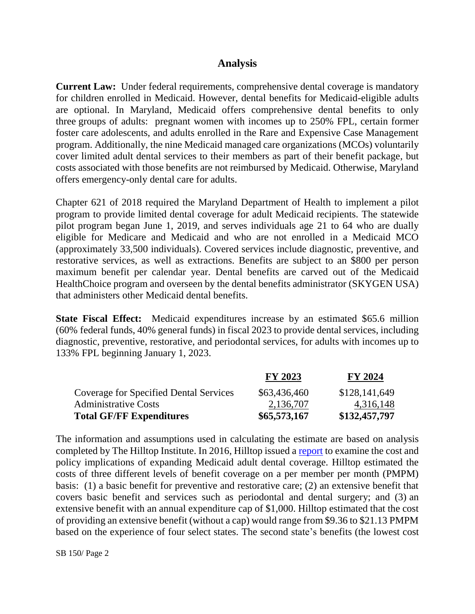## **Analysis**

**Current Law:** Under federal requirements, comprehensive dental coverage is mandatory for children enrolled in Medicaid. However, dental benefits for Medicaid-eligible adults are optional. In Maryland, Medicaid offers comprehensive dental benefits to only three groups of adults: pregnant women with incomes up to 250% FPL, certain former foster care adolescents, and adults enrolled in the Rare and Expensive Case Management program. Additionally, the nine Medicaid managed care organizations (MCOs) voluntarily cover limited adult dental services to their members as part of their benefit package, but costs associated with those benefits are not reimbursed by Medicaid. Otherwise, Maryland offers emergency-only dental care for adults.

Chapter 621 of 2018 required the Maryland Department of Health to implement a pilot program to provide limited dental coverage for adult Medicaid recipients. The statewide pilot program began June 1, 2019, and serves individuals age 21 to 64 who are dually eligible for Medicare and Medicaid and who are not enrolled in a Medicaid MCO (approximately 33,500 individuals). Covered services include diagnostic, preventive, and restorative services, as well as extractions. Benefits are subject to an \$800 per person maximum benefit per calendar year. Dental benefits are carved out of the Medicaid HealthChoice program and overseen by the dental benefits administrator (SKYGEN USA) that administers other Medicaid dental benefits.

**State Fiscal Effect:** Medicaid expenditures increase by an estimated \$65.6 million (60% federal funds, 40% general funds) in fiscal 2023 to provide dental services, including diagnostic, preventive, restorative, and periodontal services, for adults with incomes up to 133% FPL beginning January 1, 2023.

|                                               | <b>FY 2023</b> | <b>FY 2024</b> |
|-----------------------------------------------|----------------|----------------|
| <b>Coverage for Specified Dental Services</b> | \$63,436,460   | \$128,141,649  |
| <b>Administrative Costs</b>                   | 2,136,707      | 4,316,148      |
| <b>Total GF/FF Expenditures</b>               | \$65,573,167   | \$132,457,797  |

The information and assumptions used in calculating the estimate are based on analysis completed by The Hilltop Institute. In 2016, Hilltop issued a [report](https://www.hilltopinstitute.org/wp-content/uploads/publications/AdultDentalCoverageInMarylandMedicaid-February2016.pdf) to examine the cost and policy implications of expanding Medicaid adult dental coverage. Hilltop estimated the costs of three different levels of benefit coverage on a per member per month (PMPM) basis: (1) a basic benefit for preventive and restorative care; (2) an extensive benefit that covers basic benefit and services such as periodontal and dental surgery; and (3) an extensive benefit with an annual expenditure cap of \$1,000. Hilltop estimated that the cost of providing an extensive benefit (without a cap) would range from \$9.36 to \$21.13 PMPM based on the experience of four select states. The second state's benefits (the lowest cost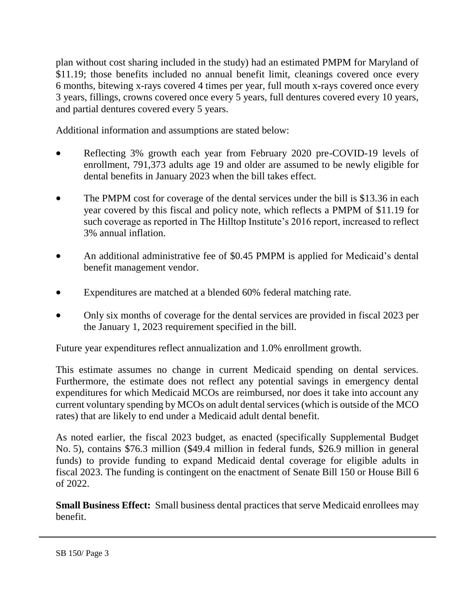plan without cost sharing included in the study) had an estimated PMPM for Maryland of \$11.19; those benefits included no annual benefit limit, cleanings covered once every 6 months, bitewing x-rays covered 4 times per year, full mouth x-rays covered once every 3 years, fillings, crowns covered once every 5 years, full dentures covered every 10 years, and partial dentures covered every 5 years.

Additional information and assumptions are stated below:

- Reflecting 3% growth each year from February 2020 pre-COVID-19 levels of enrollment, 791,373 adults age 19 and older are assumed to be newly eligible for dental benefits in January 2023 when the bill takes effect.
- The PMPM cost for coverage of the dental services under the bill is \$13.36 in each year covered by this fiscal and policy note, which reflects a PMPM of \$11.19 for such coverage as reported in The Hilltop Institute's 2016 report, increased to reflect 3% annual inflation.
- An additional administrative fee of \$0.45 PMPM is applied for Medicaid's dental benefit management vendor.
- Expenditures are matched at a blended 60% federal matching rate.
- Only six months of coverage for the dental services are provided in fiscal 2023 per the January 1, 2023 requirement specified in the bill.

Future year expenditures reflect annualization and 1.0% enrollment growth.

This estimate assumes no change in current Medicaid spending on dental services. Furthermore, the estimate does not reflect any potential savings in emergency dental expenditures for which Medicaid MCOs are reimbursed, nor does it take into account any current voluntary spending by MCOs on adult dental services (which is outside of the MCO rates) that are likely to end under a Medicaid adult dental benefit.

As noted earlier, the fiscal 2023 budget, as enacted (specifically Supplemental Budget No. 5), contains \$76.3 million (\$49.4 million in federal funds, \$26.9 million in general funds) to provide funding to expand Medicaid dental coverage for eligible adults in fiscal 2023. The funding is contingent on the enactment of Senate Bill 150 or House Bill 6 of 2022.

**Small Business Effect:** Small business dental practices that serve Medicaid enrollees may benefit.